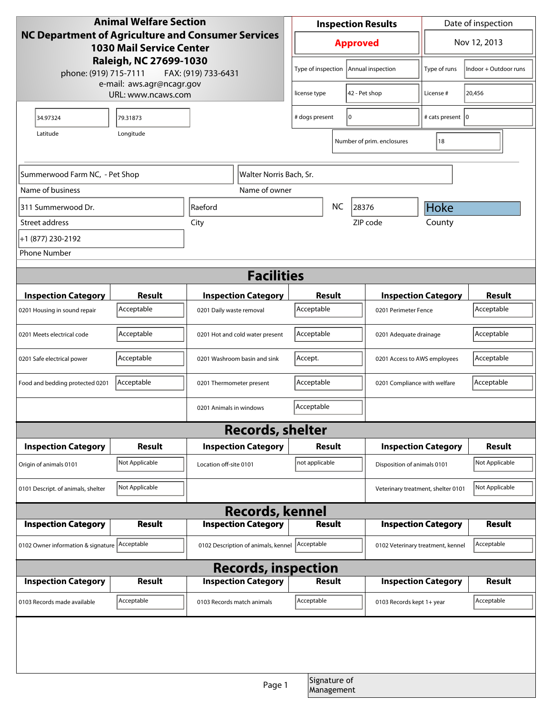| <b>Animal Welfare Section</b>                                                                |                |                                     | <b>Inspection Results</b>       |                      |                            | Date of inspection                 |                            |                |
|----------------------------------------------------------------------------------------------|----------------|-------------------------------------|---------------------------------|----------------------|----------------------------|------------------------------------|----------------------------|----------------|
| <b>NC Department of Agriculture and Consumer Services</b><br><b>1030 Mail Service Center</b> |                |                                     | <b>Approved</b>                 |                      |                            | Nov 12, 2013                       |                            |                |
| Raleigh, NC 27699-1030<br>phone: (919) 715-7111<br>FAX: (919) 733-6431                       |                | Type of inspection                  |                                 | Annual inspection    | Type of runs               | Indoor + Outdoor runs              |                            |                |
| e-mail: aws.agr@ncagr.gov<br>URL: www.ncaws.com                                              |                |                                     |                                 | license type         |                            | 42 - Pet shop                      | License #                  | 20,456         |
| 34.97324                                                                                     | 79.31873       |                                     |                                 | 10<br># dogs present |                            | # cats present   0                 |                            |                |
| Longitude<br>Latitude                                                                        |                |                                     |                                 |                      | Number of prim. enclosures | 18                                 |                            |                |
|                                                                                              |                |                                     |                                 |                      |                            |                                    |                            |                |
| Summerwood Farm NC, - Pet Shop<br>Walter Norris Bach, Sr.                                    |                |                                     |                                 |                      |                            |                                    |                            |                |
| Name of business                                                                             |                |                                     | Name of owner                   |                      |                            |                                    |                            |                |
| 311 Summerwood Dr.                                                                           |                | Raeford                             |                                 | <b>NC</b><br>28376   |                            |                                    | Hoke                       |                |
| Street address                                                                               | City           |                                     |                                 |                      |                            | ZIP code                           | County                     |                |
| +1 (877) 230-2192                                                                            |                |                                     |                                 |                      |                            |                                    |                            |                |
| <b>Phone Number</b>                                                                          |                |                                     |                                 |                      |                            |                                    |                            |                |
| <b>Facilities</b>                                                                            |                |                                     |                                 |                      |                            |                                    |                            |                |
| <b>Inspection Category</b>                                                                   | Result         |                                     | <b>Inspection Category</b>      | Result               |                            | <b>Inspection Category</b>         |                            | <b>Result</b>  |
| 0201 Housing in sound repair                                                                 | Acceptable     | 0201 Daily waste removal            |                                 | Acceptable           |                            | 0201 Perimeter Fence               |                            | Acceptable     |
| 0201 Meets electrical code                                                                   | Acceptable     |                                     | 0201 Hot and cold water present | Acceptable           |                            | 0201 Adequate drainage             |                            | Acceptable     |
| 0201 Safe electrical power                                                                   | Acceptable     |                                     | 0201 Washroom basin and sink    | Accept.              |                            | 0201 Access to AWS employees       |                            | Acceptable     |
| Food and bedding protected 0201                                                              | Acceptable     | 0201 Thermometer present            |                                 | Acceptable           |                            | 0201 Compliance with welfare       |                            | Acceptable     |
|                                                                                              |                | 0201 Animals in windows             |                                 | Acceptable           |                            |                                    |                            |                |
| <b>Records, shelter</b>                                                                      |                |                                     |                                 |                      |                            |                                    |                            |                |
| <b>Inspection Category</b>                                                                   | Result         |                                     | <b>Inspection Category</b>      | Result               |                            | <b>Inspection Category</b>         |                            | <b>Result</b>  |
| Origin of animals 0101                                                                       | Not Applicable | Location off-site 0101              |                                 | not applicable       |                            | Disposition of animals 0101        |                            | Not Applicable |
| 0101 Descript. of animals, shelter                                                           | Not Applicable |                                     |                                 |                      |                            | Veterinary treatment, shelter 0101 |                            | Not Applicable |
| <b>Records, kennel</b>                                                                       |                |                                     |                                 |                      |                            |                                    |                            |                |
| <b>Inspection Category</b>                                                                   | <b>Result</b>  |                                     | <b>Inspection Category</b>      | <b>Result</b>        |                            | <b>Inspection Category</b>         |                            | <b>Result</b>  |
| 0102 Owner information & signature Acceptable                                                |                | 0102 Description of animals, kennel |                                 | Acceptable           |                            | 0102 Veterinary treatment, kennel  |                            | Acceptable     |
| <b>Records, inspection</b>                                                                   |                |                                     |                                 |                      |                            |                                    |                            |                |
| <b>Inspection Category</b>                                                                   | Result         |                                     | <b>Inspection Category</b>      | Result               |                            |                                    | <b>Inspection Category</b> | <b>Result</b>  |
| 0103 Records made available                                                                  | Acceptable     | 0103 Records match animals          |                                 | Acceptable           |                            | 0103 Records kept 1+ year          |                            | Acceptable     |
|                                                                                              |                |                                     |                                 |                      |                            |                                    |                            |                |
|                                                                                              |                |                                     |                                 |                      |                            |                                    |                            |                |
|                                                                                              |                |                                     | Page 1                          |                      | Signature of<br>Management |                                    |                            |                |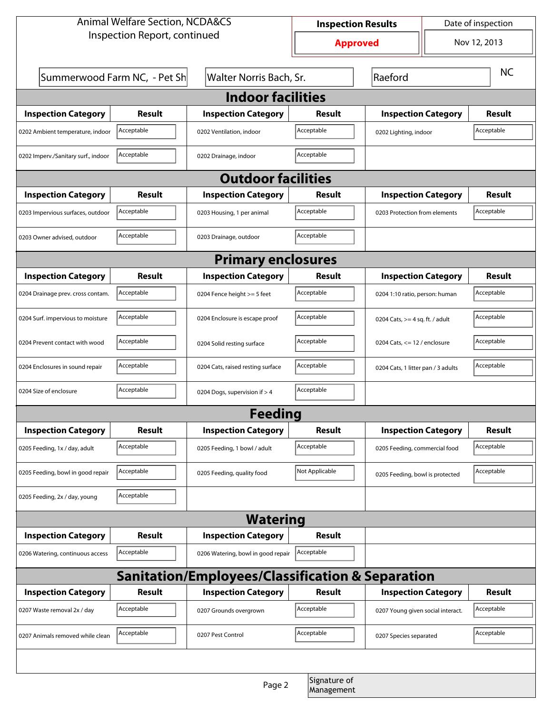| <b>Animal Welfare Section, NCDA&amp;CS</b>       |                                                         |                                    | Date of inspection<br><b>Inspection Results</b> |                                    |                                |               |  |  |
|--------------------------------------------------|---------------------------------------------------------|------------------------------------|-------------------------------------------------|------------------------------------|--------------------------------|---------------|--|--|
| Inspection Report, continued                     |                                                         |                                    | <b>Approved</b>                                 |                                    | Nov 12, 2013                   |               |  |  |
|                                                  | Summerwood Farm NC, - Pet Sh<br>Walter Norris Bach, Sr. |                                    |                                                 | Raeford                            |                                | <b>NC</b>     |  |  |
| <b>Indoor facilities</b>                         |                                                         |                                    |                                                 |                                    |                                |               |  |  |
| <b>Inspection Category</b>                       | Result                                                  | <b>Inspection Category</b>         | Result                                          | <b>Inspection Category</b>         |                                | <b>Result</b> |  |  |
| 0202 Ambient temperature, indoor                 | Acceptable                                              | 0202 Ventilation, indoor           | Acceptable                                      | 0202 Lighting, indoor              |                                | Acceptable    |  |  |
| 0202 Imperv./Sanitary surf., indoor              | Acceptable                                              | 0202 Drainage, indoor              | Acceptable                                      |                                    |                                |               |  |  |
| <b>Outdoor facilities</b>                        |                                                         |                                    |                                                 |                                    |                                |               |  |  |
| <b>Inspection Category</b>                       | Result                                                  | <b>Inspection Category</b>         | Result                                          | <b>Inspection Category</b>         |                                | Result        |  |  |
| 0203 Impervious surfaces, outdoor                | Acceptable                                              | 0203 Housing, 1 per animal         | Acceptable                                      | 0203 Protection from elements      |                                | Acceptable    |  |  |
| 0203 Owner advised, outdoor                      | Acceptable                                              | 0203 Drainage, outdoor             | Acceptable                                      |                                    |                                |               |  |  |
| <b>Primary enclosures</b>                        |                                                         |                                    |                                                 |                                    |                                |               |  |  |
| <b>Inspection Category</b>                       | Result                                                  | <b>Inspection Category</b>         | Result                                          | <b>Inspection Category</b>         |                                | Result        |  |  |
| 0204 Drainage prev. cross contam.                | Acceptable                                              | 0204 Fence height >= 5 feet        | Acceptable                                      | 0204 1:10 ratio, person: human     |                                | Acceptable    |  |  |
| 0204 Surf. impervious to moisture                | Acceptable                                              | 0204 Enclosure is escape proof     | Acceptable                                      | 0204 Cats, $>=$ 4 sq. ft. / adult  |                                | Acceptable    |  |  |
| 0204 Prevent contact with wood                   | Acceptable                                              | 0204 Solid resting surface         | Acceptable                                      |                                    | 0204 Cats, $<= 12$ / enclosure |               |  |  |
| 0204 Enclosures in sound repair                  | Acceptable                                              | 0204 Cats, raised resting surface  | Acceptable                                      | 0204 Cats, 1 litter pan / 3 adults |                                | Acceptable    |  |  |
| 0204 Size of enclosure                           | Acceptable                                              | 0204 Dogs, supervision if > 4      | Acceptable                                      |                                    |                                |               |  |  |
| <b>Feeding</b>                                   |                                                         |                                    |                                                 |                                    |                                |               |  |  |
| <b>Inspection Category</b>                       | <b>Result</b>                                           | <b>Inspection Category</b>         | <b>Result</b>                                   | <b>Inspection Category</b>         |                                | <b>Result</b> |  |  |
| 0205 Feeding, 1x / day, adult                    | Acceptable                                              | 0205 Feeding, 1 bowl / adult       | Acceptable                                      | 0205 Feeding, commercial food      |                                | Acceptable    |  |  |
| 0205 Feeding, bowl in good repair                | Acceptable                                              | 0205 Feeding, quality food         | Not Applicable                                  | 0205 Feeding, bowl is protected    |                                | Acceptable    |  |  |
| 0205 Feeding, 2x / day, young                    | Acceptable                                              |                                    |                                                 |                                    |                                |               |  |  |
| <b>Watering</b>                                  |                                                         |                                    |                                                 |                                    |                                |               |  |  |
| <b>Inspection Category</b>                       | <b>Result</b>                                           | <b>Inspection Category</b>         | <b>Result</b>                                   |                                    |                                |               |  |  |
| 0206 Watering, continuous access                 | Acceptable                                              | 0206 Watering, bowl in good repair | Acceptable                                      |                                    |                                |               |  |  |
| Sanitation/Employees/Classification & Separation |                                                         |                                    |                                                 |                                    |                                |               |  |  |
| <b>Inspection Category</b>                       | <b>Result</b>                                           | <b>Inspection Category</b>         | Result                                          | <b>Inspection Category</b>         |                                | <b>Result</b> |  |  |
| 0207 Waste removal 2x / day                      | Acceptable                                              | 0207 Grounds overgrown             | Acceptable                                      | 0207 Young given social interact.  |                                | Acceptable    |  |  |
| 0207 Animals removed while clean                 | Acceptable                                              | 0207 Pest Control                  | Acceptable                                      | 0207 Species separated             |                                | Acceptable    |  |  |
|                                                  |                                                         |                                    |                                                 |                                    |                                |               |  |  |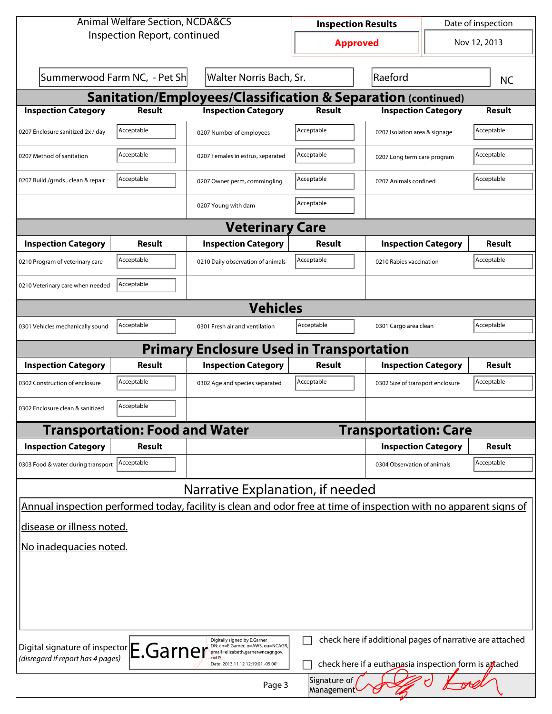| <b>Animal Welfare Section, NCDA&amp;CS</b>                                                                                                                                                                                                            |                                       |                                                                                                                    | <b>Inspection Results</b> |                                  | Date of inspection    |               |  |  |
|-------------------------------------------------------------------------------------------------------------------------------------------------------------------------------------------------------------------------------------------------------|---------------------------------------|--------------------------------------------------------------------------------------------------------------------|---------------------------|----------------------------------|-----------------------|---------------|--|--|
| Inspection Report, continued                                                                                                                                                                                                                          |                                       | <b>Approved</b>                                                                                                    |                           | Nov 12, 2013                     |                       |               |  |  |
| Summerwood Farm NC, - Pet Sh<br>Walter Norris Bach, Sr.                                                                                                                                                                                               |                                       |                                                                                                                    | Raeford                   |                                  |                       | <b>NC</b>     |  |  |
| <b>Sanitation/Employees/Classification &amp; Separation (continued)</b>                                                                                                                                                                               |                                       |                                                                                                                    |                           |                                  |                       |               |  |  |
| <b>Inspection Category</b>                                                                                                                                                                                                                            | <b>Result</b>                         | <b>Inspection Category</b>                                                                                         | <b>Result</b>             | <b>Inspection Category</b>       |                       | <b>Result</b> |  |  |
| 0207 Enclosure sanitized 2x / day                                                                                                                                                                                                                     | Acceptable                            | 0207 Number of employees                                                                                           | Acceptable                | 0207 Isolation area & signage    |                       | Acceptable    |  |  |
| 0207 Method of sanitation                                                                                                                                                                                                                             | Acceptable                            | 0207 Females in estrus, separated                                                                                  | Acceptable                | 0207 Long term care program      |                       | Acceptable    |  |  |
| 0207 Build./grnds., clean & repair                                                                                                                                                                                                                    | Acceptable                            | 0207 Owner perm, commingling                                                                                       | Acceptable                |                                  | 0207 Animals confined |               |  |  |
|                                                                                                                                                                                                                                                       |                                       | 0207 Young with dam                                                                                                | Acceptable                |                                  |                       |               |  |  |
|                                                                                                                                                                                                                                                       |                                       | <b>Veterinary Care</b>                                                                                             |                           |                                  |                       |               |  |  |
| <b>Inspection Category</b>                                                                                                                                                                                                                            | Result                                | <b>Inspection Category</b>                                                                                         | <b>Result</b>             | <b>Inspection Category</b>       |                       | <b>Result</b> |  |  |
| 0210 Program of veterinary care                                                                                                                                                                                                                       | Acceptable                            | 0210 Daily observation of animals                                                                                  | Acceptable                | 0210 Rabies vaccination          |                       | Acceptable    |  |  |
| 0210 Veterinary care when needed                                                                                                                                                                                                                      | Acceptable                            |                                                                                                                    |                           |                                  |                       |               |  |  |
| <b>Vehicles</b>                                                                                                                                                                                                                                       |                                       |                                                                                                                    |                           |                                  |                       |               |  |  |
| 0301 Vehicles mechanically sound                                                                                                                                                                                                                      | Acceptable                            | 0301 Fresh air and ventilation                                                                                     | Acceptable                | 0301 Cargo area clean            |                       | Acceptable    |  |  |
| <b>Primary Enclosure Used in Transportation</b>                                                                                                                                                                                                       |                                       |                                                                                                                    |                           |                                  |                       |               |  |  |
| <b>Inspection Category</b>                                                                                                                                                                                                                            | Result                                | <b>Inspection Category</b>                                                                                         | Result                    | <b>Inspection Category</b>       |                       | Result        |  |  |
| 0302 Construction of enclosure                                                                                                                                                                                                                        | Acceptable                            | 0302 Age and species separated                                                                                     | Acceptable                | 0302 Size of transport enclosure |                       | Acceptable    |  |  |
| 0302 Enclosure clean & sanitized                                                                                                                                                                                                                      | Acceptable                            |                                                                                                                    |                           |                                  |                       |               |  |  |
|                                                                                                                                                                                                                                                       | <b>Transportation: Food and Water</b> |                                                                                                                    |                           | <b>Transportation: Care</b>      |                       |               |  |  |
| <b>Inspection Category</b>                                                                                                                                                                                                                            | Result                                |                                                                                                                    |                           | <b>Inspection Category</b>       |                       | <b>Result</b> |  |  |
| 0303 Food & water during transport                                                                                                                                                                                                                    | Acceptable                            |                                                                                                                    |                           | 0304 Observation of animals      |                       | Acceptable    |  |  |
|                                                                                                                                                                                                                                                       |                                       | Narrative Explanation, if needed                                                                                   |                           |                                  |                       |               |  |  |
|                                                                                                                                                                                                                                                       |                                       | Annual inspection performed today, facility is clean and odor free at time of inspection with no apparent signs of |                           |                                  |                       |               |  |  |
| disease or illness noted.                                                                                                                                                                                                                             |                                       |                                                                                                                    |                           |                                  |                       |               |  |  |
| No inadequacies noted.                                                                                                                                                                                                                                |                                       |                                                                                                                    |                           |                                  |                       |               |  |  |
|                                                                                                                                                                                                                                                       |                                       |                                                                                                                    |                           |                                  |                       |               |  |  |
|                                                                                                                                                                                                                                                       |                                       |                                                                                                                    |                           |                                  |                       |               |  |  |
|                                                                                                                                                                                                                                                       |                                       |                                                                                                                    |                           |                                  |                       |               |  |  |
|                                                                                                                                                                                                                                                       |                                       |                                                                                                                    |                           |                                  |                       |               |  |  |
| check here if additional pages of narrative are attached<br>Digitally signed by E.Garner                                                                                                                                                              |                                       |                                                                                                                    |                           |                                  |                       |               |  |  |
| Digital signature of inspector E.Garner<br>DN: cn=E.Garner, o=AWS, ou=NCAGR,<br>email=elizabeth.garner@ncagr.gov,<br>(disregard if report has 4 pages)<br>check here if a euthanasia inspection form is attached<br>Date: 2013.11.12 12:19:01 -05'00' |                                       |                                                                                                                    |                           |                                  |                       |               |  |  |
| Signature of<br>Page 3<br>Management                                                                                                                                                                                                                  |                                       |                                                                                                                    |                           |                                  |                       |               |  |  |